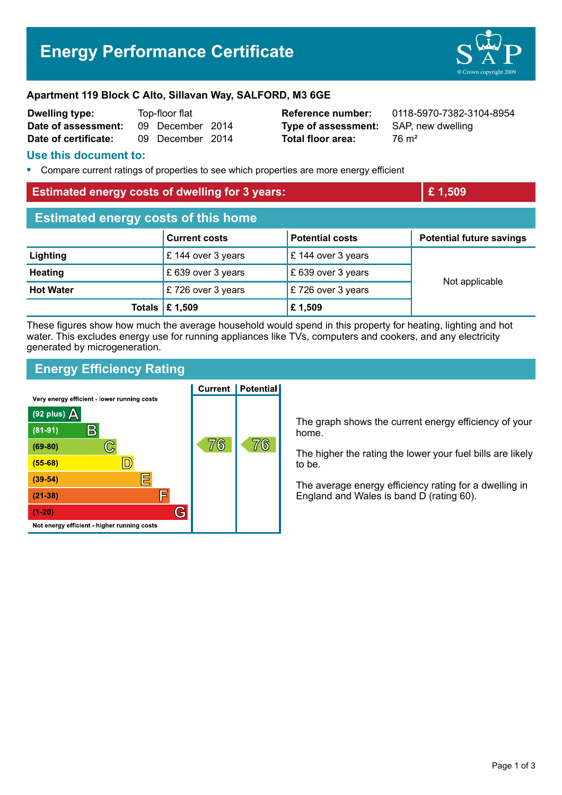# **Energy Performance Certificate**



#### **Apartment 119 Block C Alto, Sillavan Way, SALFORD, M3 6GE**

| <b>Dwelling type:</b> | Top-floor flat |                  |  |
|-----------------------|----------------|------------------|--|
| Date of assessment:   |                | 09 December 2014 |  |
| Date of certificate:  |                | 09 December 2014 |  |

**Type of assessment:** SAP, new dwelling **Total floor area:** 76 m<sup>2</sup>

**Reference number:** 0118-5970-7382-3104-8954

#### **Use this document to:**

**•** Compare current ratings of properties to see which properties are more energy efficient

#### **Estimated energy costs of dwelling for 3 years: Example 2 and 2 years E** 1,509

| <b>Estimated energy costs of this home</b> |                                 |                              |                                 |  |
|--------------------------------------------|---------------------------------|------------------------------|---------------------------------|--|
|                                            | <b>Current costs</b>            | <b>Potential costs</b>       | <b>Potential future savings</b> |  |
| Lighting                                   | £ 144 over 3 years              | $\mathsf E$ 144 over 3 years | Not applicable                  |  |
| <b>Heating</b>                             | £ 639 over 3 years              | $\,$ £ 639 over 3 years      |                                 |  |
| <b>Hot Water</b>                           | £726 over 3 years               | £726 over 3 years            |                                 |  |
|                                            | Totals $\mathbf \epsilon$ 1,509 | £ 1,509                      |                                 |  |

These figures show how much the average household would spend in this property for heating, lighting and hot water. This excludes energy use for running appliances like TVs, computers and cookers, and any electricity generated by microgeneration.

# **Energy Efficiency Rating**

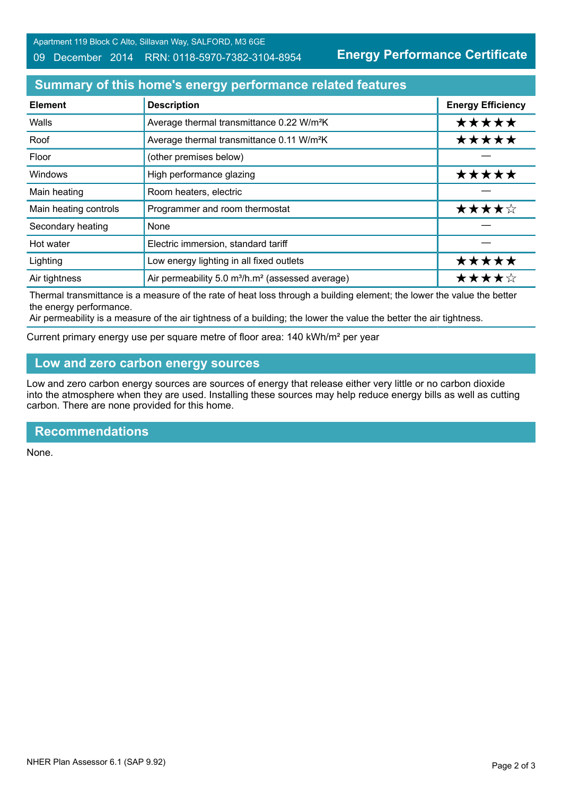#### 09 December 2014 RRN: 0118-5970-7382-3104-8954

**Energy Performance Certificate**

## **Summary of this home's energy performance related features**

| <b>Element</b>        | <b>Description</b>                                                       | <b>Energy Efficiency</b> |
|-----------------------|--------------------------------------------------------------------------|--------------------------|
| Walls                 | Average thermal transmittance 0.22 W/m <sup>2</sup> K                    | *****                    |
| Roof                  | Average thermal transmittance 0.11 W/m <sup>2</sup> K                    | *****                    |
| Floor                 | (other premises below)                                                   |                          |
| <b>Windows</b>        | High performance glazing                                                 | *****                    |
| Main heating          | Room heaters, electric                                                   |                          |
| Main heating controls | Programmer and room thermostat                                           | ★★★★☆                    |
| Secondary heating     | None                                                                     |                          |
| Hot water             | Electric immersion, standard tariff                                      |                          |
| Lighting              | Low energy lighting in all fixed outlets                                 | *****                    |
| Air tightness         | Air permeability 5.0 m <sup>3</sup> /h.m <sup>2</sup> (assessed average) | ★★★★☆                    |

Thermal transmittance is a measure of the rate of heat loss through a building element; the lower the value the better the energy performance.

Air permeability is a measure of the air tightness of a building; the lower the value the better the air tightness.

Current primary energy use per square metre of floor area: 140 kWh/m² per year

# **Low and zero carbon energy sources**

Low and zero carbon energy sources are sources of energy that release either very little or no carbon dioxide into the atmosphere when they are used. Installing these sources may help reduce energy bills as well as cutting carbon. There are none provided for this home.

### **Recommendations**

None.